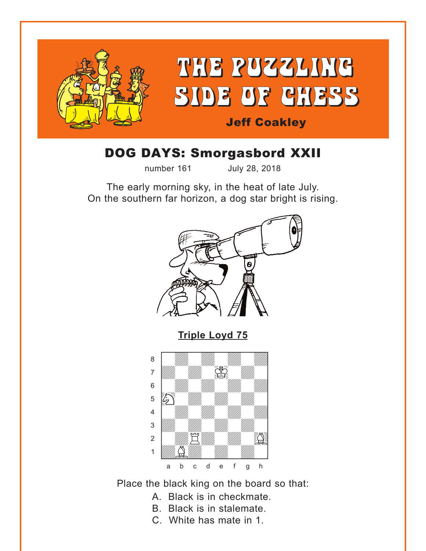<span id="page-0-0"></span>

# DOG DAYS: Smorgasbord XXII

number 161 July 28, 2018

The early morning sky, in the heat of late July. On the southern far horizon, a dog star bright is rising.



Place the black king on the board so that:

- A. Black is in checkmate.
- B. Black is in stalemate.
- C. White has mate in 1.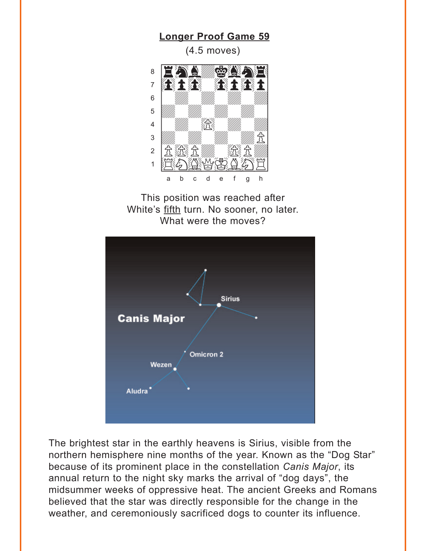<span id="page-1-0"></span>

This position was reached after White's fifth turn. No sooner, no later. What were the moves?



The brightest star in the earthly heavens is Sirius, visible from the northern hemisphere nine months of the year. Known as the "Dog Star" because of its prominent place in the constellation Canis Major, its annual return to the night sky marks the arrival of "dog days", the midsummer weeks of oppressive heat. The ancient Greeks and Romans believed that the star was directly responsible for the change in the weather, and ceremoniously sacrificed dogs to counter its influence.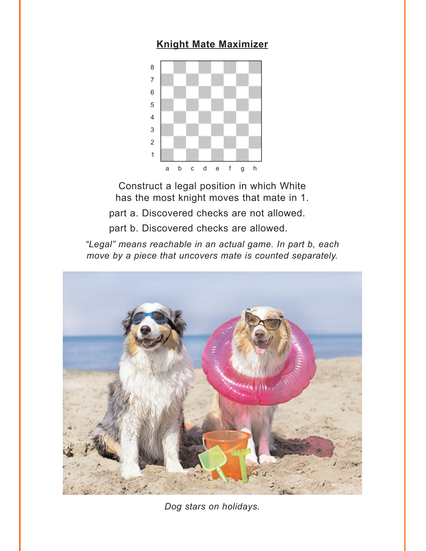#### **[Knight Mate Maximizer](#page-5-0)**

<span id="page-2-0"></span>

Construct a legal position in which White has the most knight moves that mate in 1.

part a. Discovered checks are not allowed.

part b. Discovered checks are allowed.

*"Legal" means reachable in an actual game. In part b, each move by a piece that uncovers mate is counted separately.*



*Dog stars on holidays.*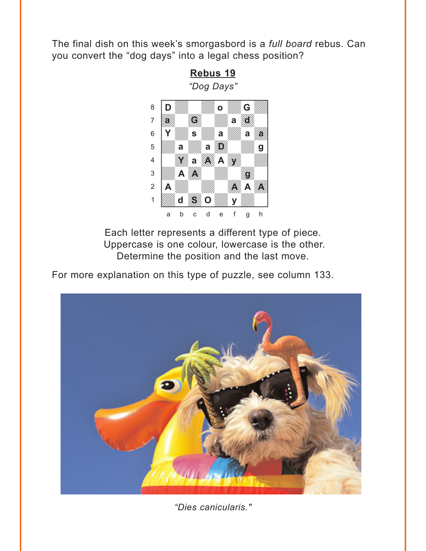<span id="page-3-0"></span>The final dish on this week's smorgasbord is a full board rebus. Can you convert the "dog days" into a legal chess position?

> Rebus 19 "Dog Days"



Each letter represents a different type of piece. Uppercase is one colour, lowercase is the other. Determine the position and the last move.

For more explanation on this type of puzzle, see column 133.



"Dies canicularis."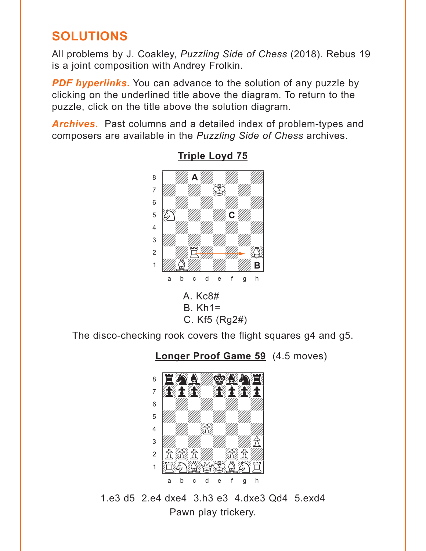## <span id="page-4-0"></span>**SOLUTIONS**

All problems by J. Coakley, Puzzling Side of Chess (2018). Rebus 19 is a joint composition with Andrey Frolkin.

**PDF hyperlinks.** You can advance to the solution of any puzzle by clicking on the underlined title above the diagram. To return to the puzzle, click on the title above the solution diagram.

**Archives.** Past columns and a detailed index of problem-types and composers are available in the Puzzling Side of Chess archives.



### **Triple Loyd 75**

 $A. Kc8#$  $B$ .  $Kh1=$ C. Kf5 (Rg2#)

The disco-checking rook covers the flight squares g4 and g5.

### **Longer Proof Game 59** (4.5 moves)



1.e3 d5 2.e4 dxe4 3.h3 e3 4.dxe3 Od4 5.exd4 Pawn play trickery.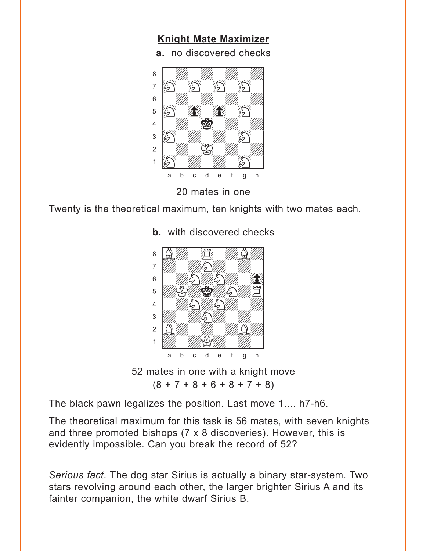## **[Knight Mate Maximizer](#page-2-0)**

<span id="page-5-0"></span>**a.** no discovered checks where the discovered choose



20 mates in one

Twenty is the theoretical maximum, ten knights with two mates each.



**b.** with discovered checks

52 mates in one with a knight move  $(8 + 7 + 8 + 6 + 8 + 7 + 8)$ 

The black pawn legalizes the position. Last move 1.... h7-h6.

The theoretical maximum for this task is 56 mates, with seven knights and three promoted bishops (7 x 8 discoveries). However, this is evidently impossible. Can you break the record of 52?

*Serious fact.* The dog star Sirius is actually a binary star-system. Two stars revolving around each other, the larger brighter Sirius A and its fainter companion, the white dwarf Sirius B.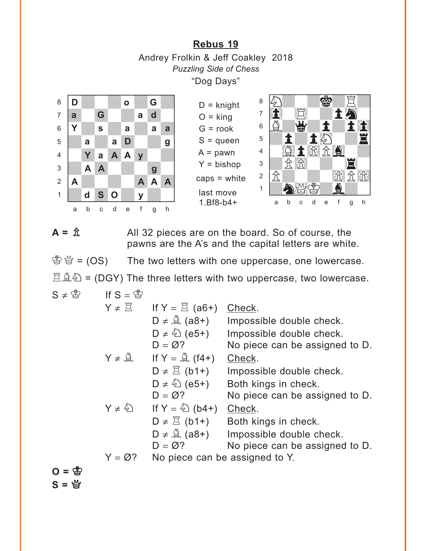### **[Rebus 19](#page-3-0)** Andrey Frolkin & Jeff Coakley 2018 *Puzzling Side of Chess* "Dog Days"

<span id="page-6-0"></span>

 $D =$ knight  $O =$  king  $G = \text{rook}$ S = queen  $A =$  pawn  $Y = b$ ishop caps = white last move 1.Bf8-b4+



 $A = \hat{\mathbb{Z}}$  All 32 pieces are on the board. So of course, the pawns are the A's and the capital letters are white.

 $\mathcal{L}^{\mathcal{L}}$   $\mathcal{L}^{\mathcal{L}}$  = (OS) The two letters with one uppercase, one lowercase.  $\mathbb{E} \hat{\mathbb{A}}$  $\hat{\mathbb{D}}$  = (DGY) The three letters with two uppercase, two lowercase.

$$
S \neq \mathring{\mathbb{S}} \qquad \text{If } S = \mathring{\mathbb{S}}
$$

 $Y \neq \mathbb{Z}$  If  $Y = \mathbb{Z}$  (a6+) Check.  $D \neq \hat{A}$  (a8+) Impossible double check.  $D \neq \hat{Q}$  (e5+) Impossible double check.<br> $D = \emptyset$ ? No piece can be assigned No piece can be assigned to D.  $Y \neq \hat{A}$  If  $Y = \hat{A}$  (f4+) Check.  $D \neq \mathbb{Z}$  (b1+) Impossible double check.  $D \neq \hat{D}$  (e5+) Both kings in check.  $D = \emptyset$ ? No piece can be assigned to D.  $Y \neq \hat{\mathbb{Q}}$  If  $Y = \hat{\mathbb{Q}}$  (b4+) Check.  $D \neq \mathbb{Z}$  (b1+) Both kings in check.  $D \neq \hat{A}$  (a8+) Impossible double check.  $D = \emptyset$ ? No piece can be assigned to D.  $Y = \varnothing$ ? No piece can be assigned to Y.

 $O = \frac{1}{2}$  $S = *Y*$